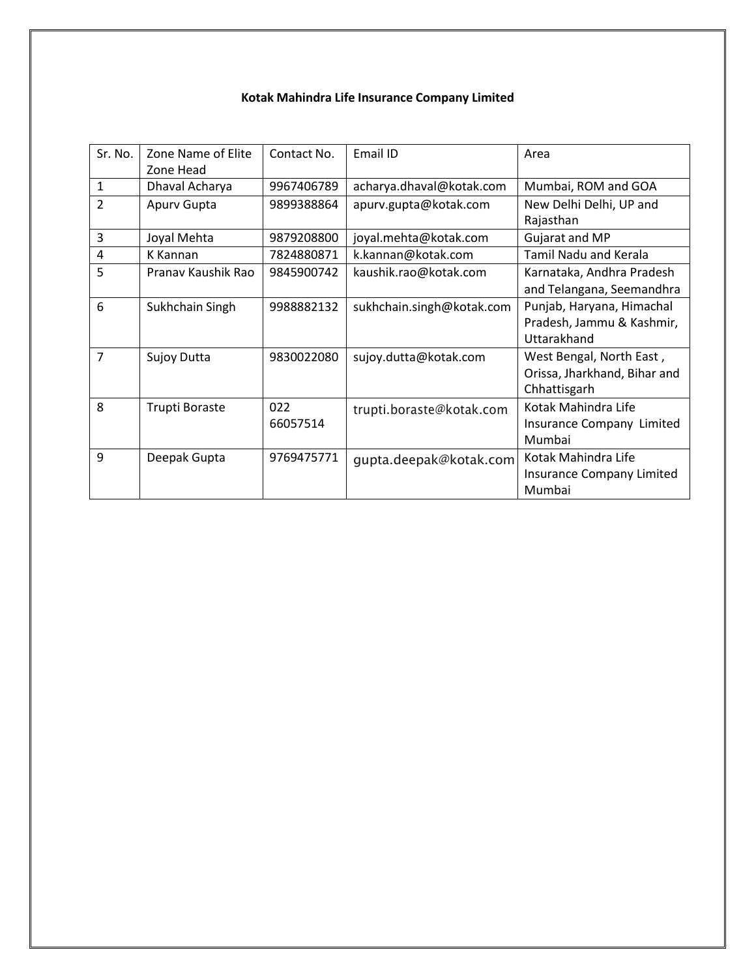## **Kotak Mahindra Life Insurance Company Limited**

| Sr. No.        | Zone Name of Elite<br>Zone Head | Contact No.     | Email ID                  | Area                                                                     |
|----------------|---------------------------------|-----------------|---------------------------|--------------------------------------------------------------------------|
| 1              | Dhaval Acharya                  | 9967406789      | acharya.dhaval@kotak.com  | Mumbai, ROM and GOA                                                      |
| $\overline{2}$ | Apury Gupta                     | 9899388864      | apurv.gupta@kotak.com     | New Delhi Delhi, UP and<br>Rajasthan                                     |
| 3              | Joyal Mehta                     | 9879208800      | joyal.mehta@kotak.com     | Gujarat and MP                                                           |
| 4              | K Kannan                        | 7824880871      | k.kannan@kotak.com        | <b>Tamil Nadu and Kerala</b>                                             |
| 5              | Pranav Kaushik Rao              | 9845900742      | kaushik.rao@kotak.com     | Karnataka, Andhra Pradesh<br>and Telangana, Seemandhra                   |
| 6              | Sukhchain Singh                 | 9988882132      | sukhchain.singh@kotak.com | Punjab, Haryana, Himachal<br>Pradesh, Jammu & Kashmir,<br>Uttarakhand    |
| 7              | Sujoy Dutta                     | 9830022080      | sujoy.dutta@kotak.com     | West Bengal, North East,<br>Orissa, Jharkhand, Bihar and<br>Chhattisgarh |
| 8              | Trupti Boraste                  | 022<br>66057514 | trupti.boraste@kotak.com  | Kotak Mahindra Life<br>Insurance Company Limited<br>Mumbai               |
| 9              | Deepak Gupta                    | 9769475771      | gupta.deepak@kotak.com    | Kotak Mahindra Life<br>Insurance Company Limited<br>Mumbai               |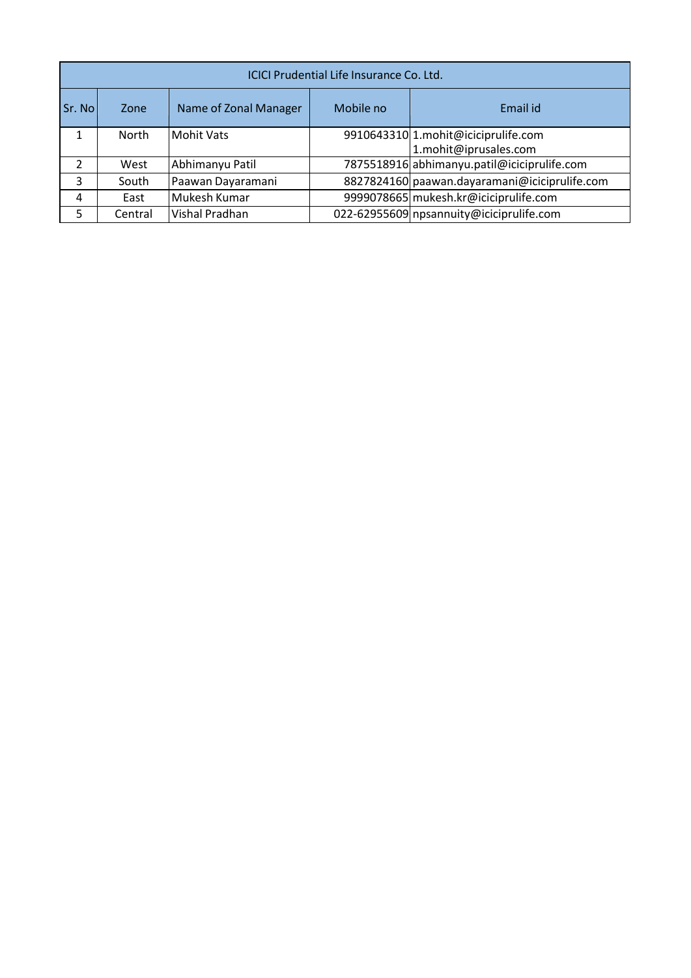|               | ICICI Prudential Life Insurance Co. Ltd. |                       |           |                                               |  |  |  |  |
|---------------|------------------------------------------|-----------------------|-----------|-----------------------------------------------|--|--|--|--|
| Sr. No        | Zone                                     | Name of Zonal Manager | Mobile no | Email id                                      |  |  |  |  |
| 1             | <b>North</b>                             | <b>Mohit Vats</b>     |           | 9910643310 1.mohit@iciciprulife.com           |  |  |  |  |
|               |                                          |                       |           | 1.mohit@iprusales.com                         |  |  |  |  |
| $\mathcal{P}$ | West                                     | Abhimanyu Patil       |           | 7875518916 abhimanyu.patil@iciciprulife.com   |  |  |  |  |
| 3             | South                                    | Paawan Dayaramani     |           | 8827824160 paawan.dayaramani@iciciprulife.com |  |  |  |  |
| 4             | East                                     | Mukesh Kumar          |           | 9999078665 mukesh.kr@iciciprulife.com         |  |  |  |  |
| 5             | Central                                  | Vishal Pradhan        |           | 022-62955609 npsannuity@iciciprulife.com      |  |  |  |  |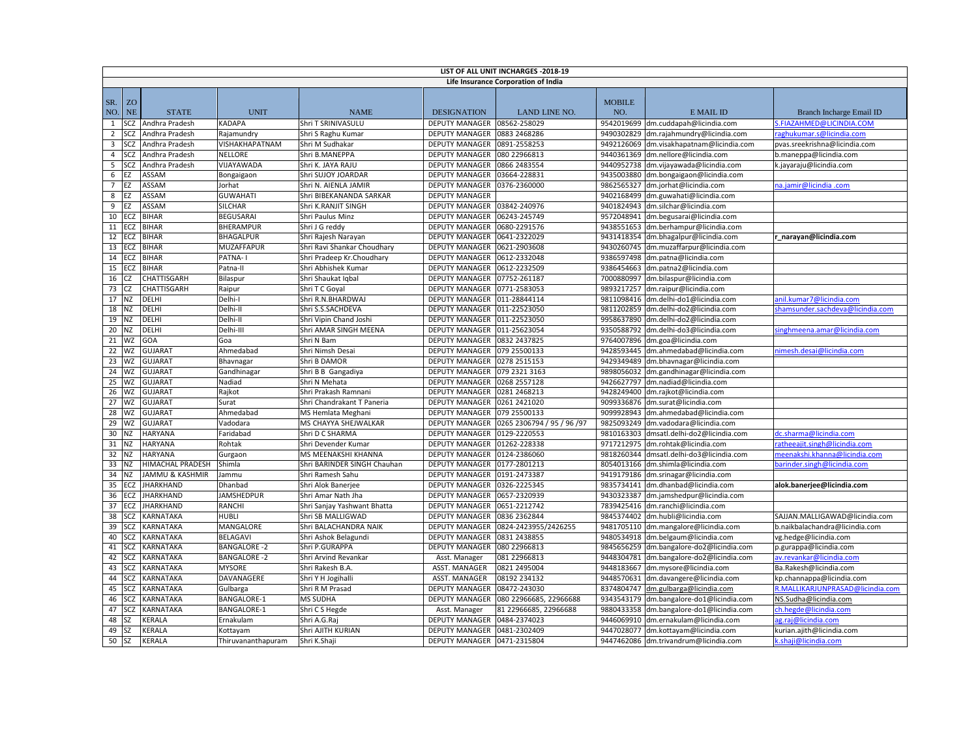|                | LIST OF ALL UNIT INCHARGES - 2018-19 |                            |                     |                             |                       |                                     |                      |                                          |                                  |
|----------------|--------------------------------------|----------------------------|---------------------|-----------------------------|-----------------------|-------------------------------------|----------------------|------------------------------------------|----------------------------------|
|                |                                      |                            |                     |                             |                       | Life Insurance Corporation of India |                      |                                          |                                  |
| SR.<br>NO.     | <b>ZO</b><br><b>NE</b>               | <b>STATE</b>               | <b>UNIT</b>         | <b>NAME</b>                 | <b>DESIGNATION</b>    | LAND LINE NO.                       | <b>MOBILE</b><br>NO. | E MAIL ID                                | Branch Incharge Email ID         |
| 1              | SCZ                                  | Andhra Pradesh             | <b>KADAPA</b>       | Shri T SRINIVASULU          | <b>DEPUTY MANAGER</b> | 08562-258029                        |                      | 9542019699 dm.cuddapah@licindia.com      | <b>ELAZAHMED@LICINDIA.COM</b>    |
| $\overline{2}$ | SCZ                                  | Andhra Pradesh             | Rajamundry          | Shri S Raghu Kumar          | <b>DEPUTY MANAGER</b> | 0883 2468286                        |                      | 9490302829 dm.rajahmundry@licindia.com   | aghukumar.s@licindia.com         |
| 3              | SCZ                                  | Andhra Pradesh             | VISHAKHAPATNAM      | Shri M Sudhakar             | <b>DEPUTY MANAGER</b> | 0891-2558253                        |                      | 9492126069 dm.visakhapatnam@licindia.com | pvas.sreekrishna@licindia.com    |
| $\overline{4}$ | SCZ                                  | Andhra Pradesh             | <b>NELLORE</b>      | Shri B.MANEPPA              | <b>DEPUTY MANAGER</b> | 080 22966813                        | 9440361369           | dm.nellore@licindia.com                  | b.maneppa@licindia.com           |
| 5              | SCZ                                  | Andhra Pradesh             | VIJAYAWADA          | Shri K. JAYA RAJU           | <b>DEPUTY MANAGER</b> | 0866 2483554                        |                      | 9440952738 dm.vijayawada@licindia.com    | k.jayaraju@licindia.com          |
| 6              | EZ                                   | ASSAM                      | Bongaigaon          | Shri SUJOY JOARDAR          | <b>DEPUTY MANAGER</b> | 03664-228831                        |                      | 9435003880 dm.bongaigaon@licindia.com    |                                  |
| $\overline{7}$ | EZ                                   | ASSAM                      | Jorhat              | Shri N. AIENLA JAMIR        | <b>DEPUTY MANAGER</b> | 0376-2360000                        |                      | 9862565327 dm.jorhat@licindia.com        | a.jamir@licindia.com             |
| 8              | EZ                                   | <b>ASSAM</b>               | <b>GUWAHATI</b>     | Shri BIBEKANANDA SARKAR     | <b>DEPUTY MANAGER</b> |                                     |                      | 9402168499 dm.guwahati@licindia.com      |                                  |
| 9              | EZ                                   | <b>ASSAM</b>               | <b>SILCHAR</b>      | Shri K.RANJIT SINGH         | <b>DEPUTY MANAGER</b> | 03842-240976                        |                      | 9401824943 dm.silchar@licindia.com       |                                  |
| 10             | ECZ                                  | <b>BIHAR</b>               | <b>BEGUSARAI</b>    | Shri Paulus Minz            | <b>DEPUTY MANAGER</b> | 06243-245749                        |                      | 9572048941 dm.begusarai@licindia.com     |                                  |
| 11             | ECZ                                  | <b>BIHAR</b>               | <b>BHERAMPUR</b>    | Shri J G reddy              | <b>DEPUTY MANAGER</b> | 0680-2291576                        |                      | 9438551653 dm.berhampur@licindia.com     |                                  |
| 12             | ECZ                                  | <b>BIHAR</b>               | <b>BHAGALPUR</b>    | Shri Rajesh Narayan         | <b>DEPUTY MANAGER</b> | 0641-2322029                        |                      | 9431418354 dm.bhagalpur@licindia.com     | narayan@licindia.com             |
| 13             | ECZ                                  | <b>BIHAR</b>               | <b>MUZAFFAPUR</b>   | Shri Ravi Shankar Choudhary | DEPUTY MANAGER        | 0621-2903608                        |                      | 9430260745 dm.muzaffarpur@licindia.com   |                                  |
| 14             | ECZ                                  | <b>BIHAR</b>               | PATNA-I             | Shri Pradeep Kr.Choudhary   | <b>DEPUTY MANAGER</b> | 0612-2332048                        | 9386597498           | dm.patna@licindia.com                    |                                  |
| 15             | ECZ                                  | <b>BIHAR</b>               | Patna-II            | Shri Abhishek Kumar         | <b>DEPUTY MANAGER</b> | 0612-2232509                        |                      | 9386454663 dm.patna2@licindia.com        |                                  |
| 16             | CZ                                   | <b>CHATTISGARH</b>         | Bilaspur            | Shri Shaukat Iqbal          | <b>DEPUTY MANAGER</b> | 07752-261187                        |                      | 7000880997 dm.bilaspur@licindia.com      |                                  |
| 73             | CZ                                   | <b>CHATTISGARH</b>         | Raipur              | Shri T C Goyal              | <b>DEPUTY MANAGER</b> | 0771-2583053                        |                      | 9893217257 dm.raipur@licindia.com        |                                  |
| 17             | ΝZ                                   | DELHI                      | Delhi-l             | Shri R.N.BHARDWAJ           | <b>DEPUTY MANAGER</b> | 011-28844114                        |                      | 9811098416 dm.delhi-do1@licindia.com     | inil.kumar7@licindia.com         |
| 18             | NZ                                   | <b>DELHI</b>               | Delhi-II            | Shri S.S.SACHDEVA           | <b>DEPUTY MANAGER</b> | 011-22523050                        |                      | 9811202859 dm.delhi-do2@licindia.com     | hamsunder.sachdeva@licindia.com  |
| 19             | <b>NZ</b>                            | <b>DELHI</b>               | Delhi-II            | Shri Vipin Chand Joshi      | <b>DEPUTY MANAGER</b> | 011-22523050                        | 9958637890           | dm.delhi-do2@licindia.com                |                                  |
| 20             | ΝZ                                   | DELHI                      | Delhi-III           | Shri AMAR SINGH MEENA       | <b>DEPUTY MANAGER</b> | 011-25623054                        |                      | 9350588792 dm.delhi-do3@licindia.com     | inghmeena.amar@licindia.com      |
| 21             | WZ                                   | GOA                        | Goa                 | Shri N Bam                  | <b>DEPUTY MANAGER</b> | 0832 2437825                        |                      | 9764007896 dm.goa@licindia.com           |                                  |
| 22             | WZ                                   | <b>GUJARAT</b>             | Ahmedabad           | Shri Nimsh Desai            | <b>DEPUTY MANAGER</b> | 079 25500133                        | 9428593445           | dm.ahmedabad@licindia.com                | nimesh.desai@licindia.com        |
| 23             | <b>WZ</b>                            | <b>GUJARAT</b>             | Bhavnagar           | Shri B DAMOR                | <b>DEPUTY MANAGER</b> | 0278 2515153                        | 9429349489           | dm.bhavnagar@licindia.com                |                                  |
| 24             | WZ                                   | <b>GUJARAT</b>             | Gandhinagar         | Shri B B Gangadiya          | <b>DEPUTY MANAGER</b> | 079 2321 3163                       |                      | 9898056032 dm.gandhinagar@licindia.com   |                                  |
| 25             | WZ                                   | <b>GUJARAT</b>             | Nadiad              | Shri N Mehata               | <b>DEPUTY MANAGER</b> | 0268 2557128                        |                      | 9426627797 dm.nadiad@licindia.com        |                                  |
| 26             | WZ                                   | <b>GUJARAT</b>             | Rajkot              | Shri Prakash Ramnani        | <b>DEPUTY MANAGER</b> | 0281 2468213                        | 9428249400           | dm.rajkot@licindia.com                   |                                  |
| 27             | WZ                                   | <b>GUJARAT</b>             | Surat               | Shri Chandrakant T Paneria  | <b>DEPUTY MANAGER</b> | 0261 2421020                        | 9099336876           | dm.surat@licindia.com                    |                                  |
| 28             | WZ                                   | <b>GUJARAT</b>             | Ahmedabad           | MS Hemlata Meghani          | <b>DEPUTY MANAGER</b> | 079 25500133                        | 9099928943           | dm.ahmedabad@licindia.com                |                                  |
| 29             | WZ                                   | <b>GUJARAT</b>             | Vadodara            | MS CHAYYA SHEJWALKAR        | <b>DEPUTY MANAGER</b> | 0265 2306794 / 95 / 96 / 97         | 9825093249           | dm.vadodara@licindia.com                 |                                  |
| 30             | <b>NZ</b>                            | <b>HARYANA</b>             | Faridabad           | Shri D C SHARMA             | <b>DEPUTY MANAGER</b> | 0129-2220553                        | 9810163303           | dmsatl.delhi-do2@licindia.com            | lc.sharma@licindia.com           |
| 31             | ΝZ                                   | <b>HARYANA</b>             | Rohtak              | Shri Devender Kumar         | <b>DEPUTY MANAGER</b> | 01262-228338                        | 9717212975           | dm.rohtak@licindia.com                   | atheeajit.singh@licindia.com     |
| 32             | ΝZ                                   | <b>HARYANA</b>             | Gurgaon             | MS MEENAKSHI KHANNA         | <b>DEPUTY MANAGER</b> | 0124-2386060                        | 9818260344           | dmsatl.delhi-do3@licindia.com            | neenakshi.khanna@licindia.com    |
| 33             | <b>NZ</b>                            | <b>HIMACHAL PRADESH</b>    | Shimla              | Shri BARINDER SINGH Chauhan | <b>DEPUTY MANAGER</b> | 0177-2801213                        | 8054013166           | dm.shimla@licindia.com                   | arinder.singh@licindia.com       |
| 34             | ΝZ                                   | <b>JAMMU &amp; KASHMIR</b> | Jammu               | Shri Ramesh Sahu            | <b>DEPUTY MANAGER</b> | 0191-2473387                        |                      | 9419179186 dm.srinagar@licindia.com      |                                  |
| 35             | ECZ                                  | <b>JHARKHAND</b>           | Dhanbad             | Shri Alok Banerjee          | <b>DEPUTY MANAGER</b> | 0326-2225345                        | 9835734141           | dm.dhanbad@licindia.com                  | alok.banerjee@licindia.com       |
| 36             | ECZ                                  | <b>JHARKHAND</b>           | <b>JAMSHEDPUR</b>   | Shri Amar Nath Jha          | <b>DEPUTY MANAGER</b> | 0657-2320939                        |                      | 9430323387 dm.jamshedpur@licindia.com    |                                  |
| 37             | ECZ                                  | <b>JHARKHAND</b>           | <b>RANCHI</b>       | Shri Sanjay Yashwant Bhatta | <b>DEPUTY MANAGER</b> | 0651-2212742                        |                      | 7839425416 dm.ranchi@licindia.com        |                                  |
| 38             | SCZ                                  | KARNATAKA                  | <b>HUBLI</b>        | Shri SB MALLIGWAD           | <b>DEPUTY MANAGER</b> | 0836 2362844                        | 9845374402           | dm.hubli@licindia.com                    | SAJJAN.MALLIGAWAD@licindia.com   |
| 39             | SCZ                                  | <b>KARNATAKA</b>           | MANGALORE           | Shri BALACHANDRA NAIK       | <b>DEPUTY MANAGER</b> | 0824-2423955/2426255                |                      | 9481705110 dm.mangalore@licindia.com     | b.naikbalachandra@licindia.com   |
| 40             | SCZ                                  | KARNATAKA                  | <b>BELAGAV</b>      | Shri Ashok Belagundi        | <b>DEPUTY MANAGER</b> | 0831 2438855                        | 9480534918           | dm.belgaum@licindia.com                  | vg.hedge@licindia.com            |
| 41             | SCZ                                  | <b>KARNATAKA</b>           | <b>BANGALORE-2</b>  | Shri P.GURAPPA              | <b>DEPUTY MANAGER</b> | 080 22966813                        | 9845656259           | dm.bangalore-do2@licindia.com            | p.gurappa@licindia.com           |
| 42             | SCZ                                  | <b>KARNATAKA</b>           | <b>BANGALORE -2</b> | Shri Arvind Revankar        | Asst. Manager         | 081 22966813                        | 9448304781           | dm.bangalore-do2@licindia.com            | av.revankar@licindia.com         |
| 43             | SCZ                                  | KARNATAKA                  | <b>MYSORE</b>       | Shri Rakesh B.A             | ASST. MANAGER         | 0821 2495004                        | 9448183667           | dm.mysore@licindia.com                   | Ba.Rakesh@licindia.com           |
| 44             | SCZ                                  | <b>KARNATAKA</b>           | DAVANAGERE          | Shri Y H Jogihalli          | ASST. MANAGER         | 08192 234132                        | 9448570631           | dm.davangere@licindia.com                | kp.channappa@licindia.com        |
| 45             | SCZ                                  | KARNATAKA                  | Gulbarga            | Shri R M Prasad             | <b>DEPUTY MANAGER</b> | 08472-243030                        |                      | 8374804747 dm.gulbarga@licindia.com      | R.MALLIKARJUNPRASAD@licindia.com |
| 46             | SCZ                                  | KARNATAKA                  | <b>BANGALORE-1</b>  | MS SUDHA                    | <b>DEPUTY MANAGER</b> | 080 22966685, 22966688              | 9343543179           | dm.bangalore-do1@licindia.com            | VS.Sudha@licindia.com            |
| 47             | <b>SCZ</b>                           | <b>KARNATAKA</b>           | <b>BANGALORE-1</b>  | Shri C S Hegde              | Asst. Manager         | 81 22966685, 22966688               | 9880433358           | dm.bangalore-do1@licindia.com            | h.hegde@licindia.com             |
| 48             | SZ                                   | <b>KERALA</b>              | Ernakulam           | Shri A.G.Raj                | <b>DEPUTY MANAGER</b> | 0484-2374023                        | 9446069910           | dm.ernakulam@licindia.com                | g.raj@licindia.com               |
| 49             | SZ                                   | <b>KERALA</b>              | Kottayam            | Shri AJITH KURIAN           | <b>DEPUTY MANAGER</b> | 0481-2302409                        |                      | 9447028077 dm.kottayam@licindia.com      | kurian.ajith@licindia.com        |
| 50             | <b>SZ</b>                            | KERALA                     | Thiruvananthapuram  | Shri K.Shaji                | DEPUTY MANAGER        | 0471-2315804                        |                      | 9447462086 dm.trivandrum@licindia.com    | c.shaji@licindia.com             |
|                |                                      |                            |                     |                             |                       |                                     |                      |                                          |                                  |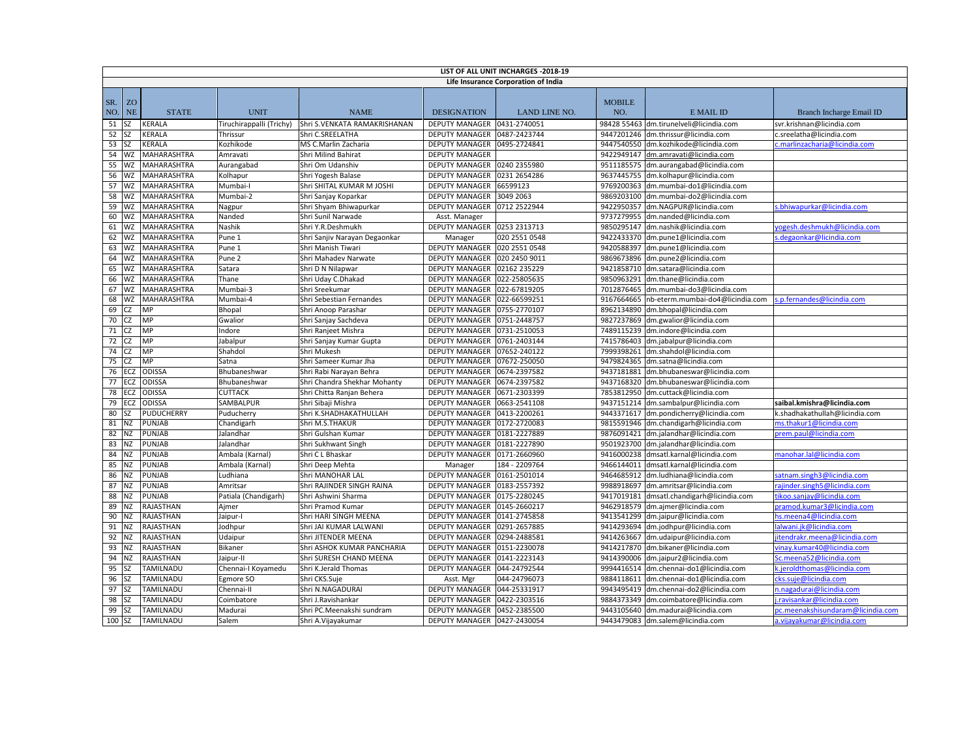|            | LIST OF ALL UNIT INCHARGES - 2018-19 |                    |                      |                                                       |                             |                      |                      |                                  |                                  |  |
|------------|--------------------------------------|--------------------|----------------------|-------------------------------------------------------|-----------------------------|----------------------|----------------------|----------------------------------|----------------------------------|--|
|            | Life Insurance Corporation of India  |                    |                      |                                                       |                             |                      |                      |                                  |                                  |  |
| SR.<br>NO. | Z <sub>O</sub><br><b>NE</b>          | <b>STATE</b>       | <b>UNIT</b>          | <b>NAME</b>                                           | <b>DESIGNATION</b>          | <b>LAND LINE NO.</b> | <b>MOBILE</b><br>NO. | E MAIL ID                        | Branch Incharge Email ID         |  |
| 51 SZ      |                                      | <b>KERALA</b>      |                      | Tiruchirappalli (Trichy) Shri S.VENKATA RAMAKRISHANAN | <b>DEPUTY MANAGER</b>       | 0431-2740051         | 98428 55463          | dm.tirunelveli@licindia.com      | svr.krishnan@licindia.com        |  |
| 52         | <b>SZ</b>                            | <b>KERALA</b>      | Thrissur             | Shri C.SREELATHA                                      | <b>DEPUTY MANAGER</b>       | 0487-2423744         | 9447201246           | dm.thrissur@licindia.com         | c.sreelatha@licindia.com         |  |
| 53         | <b>SZ</b>                            | <b>KERALA</b>      | Kozhikode            | MS C.Marlin Zacharia                                  | <b>DEPUTY MANAGER</b>       | 0495-2724841         | 9447540550           | dm.kozhikode@licindia.com        | .marlinzacharia@licindia.com     |  |
| 54         | WZ                                   | <b>MAHARASHTRA</b> | Amravati             | Shri Milind Bahirat                                   | <b>DEPUTY MANAGER</b>       |                      | 9422949147           | dm.amravati@licindia.com         |                                  |  |
| 55         | WZ                                   | <b>MAHARASHTRA</b> | Aurangabad           | Shri Om Udanshiv                                      | DEPUTY MANAGER              | 0240 2355980         | 9511185575           | dm.aurangabad@licindia.com       |                                  |  |
| 56         | WZ                                   | <b>MAHARASHTRA</b> | Kolhapur             | Shri Yogesh Balase                                    | <b>DEPUTY MANAGER</b>       | 0231 2654286         | 9637445755           | dm.kolhapur@licindia.com         |                                  |  |
| 57         | WZ                                   | <b>MAHARASHTRA</b> | Mumbai-l             | Shri SHITAL KUMAR M JOSHI                             | <b>DEPUTY MANAGER</b>       | 66599123             | 9769200363           | dm.mumbai-do1@licindia.com       |                                  |  |
| 58         | WZ                                   | <b>MAHARASHTRA</b> | Mumbai-2             | Shri Sanjay Koparkar                                  | <b>DEPUTY MANAGER</b>       | 3049 2063            | 9869203100           | dm.mumbai-do2@licindia.com       |                                  |  |
| 59         | WZ                                   | <b>MAHARASHTRA</b> | Nagpur               | Shri Shyam Bhiwapurkar                                | <b>DEPUTY MANAGER</b>       | 0712 2522944         | 9422950357           | dm.NAGPUR@licindia.com           | s.bhiwapurkar@licindia.com       |  |
| 60         | WZ                                   | <b>MAHARASHTRA</b> | Nanded               | Shri Sunil Narwade                                    | Asst. Manager               |                      | 9737279955           | dm.nanded@licindia.com           |                                  |  |
| 61         | WZ                                   | <b>MAHARASHTRA</b> | Nashik               | Shri Y.R.Deshmukh                                     | DEPUTY MANAGER 0253 2313713 |                      | 9850295147           | dm.nashik@licindia.com           | vogesh.deshmukh@licindia.com     |  |
| 62         | WZ                                   | MAHARASHTRA        | Pune 1               | Shri Sanjiv Narayan Degaonkar                         | Manager                     | 020 2551 0548        | 9422433370           | dm.pune1@licindia.com            | .degaonkar@licindia.com          |  |
| 63         | WZ                                   | MAHARASHTRA        | Pune 1               | Shri Manish Tiwari                                    | DEPUTY MANAGER              | 020 2551 0548        | 9420588397           | dm.pune1@licindia.com            |                                  |  |
| 64         | WZ                                   | <b>MAHARASHTRA</b> | Pune 2               | Shri Mahadev Narwate                                  | <b>DEPUTY MANAGER</b>       | 020 2450 9011        | 9869673896           | dm.pune2@licindia.com            |                                  |  |
| 65         | WZ                                   | <b>MAHARASHTRA</b> | Satara               | Shri D N Nilapwar                                     | <b>DEPUTY MANAGER</b>       | 02162 235229         | 9421858710           | dm.satara@licindia.com           |                                  |  |
| 66         | WZ                                   | <b>MAHARASHTRA</b> | Thane                | Shri Uday C.Dhakad                                    | <b>DEPUTY MANAGER</b>       | 022-25805635         | 9850963291           | dm.thane@licindia.com            |                                  |  |
| 67         | WZ                                   | <b>MAHARASHTRA</b> | Mumbai-3             | Shri Sreekumar                                        | <b>DEPUTY MANAGER</b>       | 022-67819205         | 7012876465           | dm.mumbai-do3@licindia.com       |                                  |  |
| 68         | WZ                                   | <b>MAHARASHTRA</b> | Mumbai-4             | Shri Sebestian Fernandes                              | DEPUTY MANAGER              | 022-66599251         | 9167664665           | nb-eterm.mumbai-do4@licindia.com | p.fernandes@licindia.com         |  |
| 69         | CZ                                   | MP                 | Bhopal               | Shri Anoop Parashar                                   | <b>DEPUTY MANAGER</b>       | 0755-2770107         | 8962134890           | dm.bhopal@licindia.com           |                                  |  |
| 70         | <b>CZ</b>                            | MP                 | Gwalior              | Shri Sanjay Sachdeva                                  | <b>DEPUTY MANAGER</b>       | 0751-2448757         | 9827237869           | dm.gwalior@licindia.com          |                                  |  |
| 71         | CZ                                   | MP                 | Indore               | Shri Ranjeet Mishra                                   | <b>DEPUTY MANAGER</b>       | 0731-2510053         | 7489115239           | dm.indore@licindia.com           |                                  |  |
| 72         | CZ                                   | MP                 | Jabalpur             | Shri Sanjay Kumar Gupta                               | DEPUTY MANAGER              | 0761-2403144         | 7415786403           | dm.jabalpur@licindia.com         |                                  |  |
| 74         | <b>CZ</b>                            | MP                 | Shahdol              | Shri Mukesh                                           | <b>DEPUTY MANAGER</b>       | 07652-240122         | 7999398261           | dm.shahdol@licindia.com          |                                  |  |
| 75         | CZ                                   | MP                 | Satna                | Shri Sameer Kumar Jha                                 | DEPUTY MANAGER              | 07672-250050         | 9479824365           | dm.satna@licindia.com            |                                  |  |
|            | 76 ECZ                               | <b>ODISSA</b>      | Bhubaneshwar         | Shri Rabi Narayan Behra                               | <b>DEPUTY MANAGER</b>       | 0674-2397582         | 9437181881           | dm.bhubaneswar@licindia.com      |                                  |  |
| 77         | <b>ECZ</b>                           | <b>ODISSA</b>      | Bhubaneshwar         | Shri Chandra Shekhar Mohanty                          | <b>DEPUTY MANAGER</b>       | 0674-2397582         | 9437168320           | dm.bhubaneswar@licindia.com      |                                  |  |
| 78         | ECZ                                  | <b>ODISSA</b>      | <b>CUTTACK</b>       | Shri Chitta Ranjan Behera                             | <b>DEPUTY MANAGER</b>       | 0671-2303399         | 7853812950           | dm.cuttack@licindia.com          |                                  |  |
| 79         | ECZ                                  | <b>ODISSA</b>      | SAMBALPUR            | Shri Sibaji Mishra                                    | <b>DEPUTY MANAGER</b>       | 0663-2541108         | 9437151214           | dm.sambalpur@licindia.com        | saibal.kmishra@licindia.com      |  |
| 80         | SZ                                   | <b>PUDUCHERRY</b>  | Puducherry           | Shri K.SHADHAKATHULLAH                                | <b>DEPUTY MANAGER</b>       | 0413-2200261         | 9443371617           | dm.pondicherry@licindia.com      | k.shadhakathullah@licindia.com   |  |
| 81         | <b>NZ</b>                            | <b>PUNJAB</b>      | Chandigarh           | Shri M.S.THAKUR                                       | DEPUTY MANAGER              | 0172-2720083         | 9815591946           | dm.chandigarh@licindia.com       | ns.thakur1@licindia.com          |  |
| 82         | <b>NZ</b>                            | <b>PUNJAB</b>      | Jalandhar            | Shri Gulshan Kumar                                    | <b>DEPUTY MANAGER</b>       | 0181-2227889         | 9876091421           | dm.jalandhar@licindia.com        | rem.paul@licindia.com            |  |
| 83         | <b>NZ</b>                            | <b>PUNJAB</b>      | Jalandhar            | Shri Sukhwant Singh                                   | <b>DEPUTY MANAGER</b>       | 0181-2227890         | 9501923700           | dm.jalandhar@licindia.com        |                                  |  |
| 84         | <b>NZ</b>                            | <b>PUNJAB</b>      | Ambala (Karnal)      | Shri C L Bhaskar                                      | DEPUTY MANAGER              | 0171-2660960         | 9416000238           | dmsatl.karnal@licindia.com       | manohar.lal@licindia.com         |  |
| 85         | <b>NZ</b>                            | <b>PUNJAB</b>      | Ambala (Karnal)      | Shri Deep Mehta                                       | Manager                     | 184 - 2209764        | 9466144011           | dmsatl.karnal@licindia.com       |                                  |  |
| 86         | <b>NZ</b>                            | PUNJAB             | Ludhiana             | Shri MANOHAR LAL                                      | <b>DEPUTY MANAGER</b>       | 0161-2501014         | 9464685912           | dm.ludhiana@licindia.com         | satnam.singh3@licindia.com       |  |
| 87         | NZ                                   | <b>PUNJAB</b>      | Amritsar             | Shri RAJINDER SINGH RAINA                             | <b>DEPUTY MANAGER</b>       | 0183-2557392         | 9988918697           | dm.amritsar@licindia.com         | rajinder.singh5@licindia.com     |  |
| 88         | NZ                                   | <b>PUNJAB</b>      | Patiala (Chandigarh) | Shri Ashwini Sharma                                   | DEPUTY MANAGER              | 0175-2280245         | 9417019181           | dmsatl.chandigarh@licindia.com   | koo.sanjay@licindia.com          |  |
| 89         | <b>NZ</b>                            | RAJASTHAN          | Ajmer                | Shri Pramod Kumar                                     | DEPUTY MANAGER              | 0145-2660217         | 9462918579           | dm.ajmer@licindia.com            | ramod.kumar3@licindia.com        |  |
| 90         | <b>NZ</b>                            | <b>RAJASTHAN</b>   | Jaipur-I             | Shri HARI SINGH MEENA                                 | <b>DEPUTY MANAGER</b>       | 0141-2745858         | 9413541299           | dm.jaipur@licindia.com           | s.meena4@licindia.com            |  |
| 91         | NZ                                   | RAJASTHAN          | Jodhpur              | Shri JAI KUMAR LALWAN                                 | <b>DEPUTY MANAGER</b>       | 0291-2657885         | 9414293694           | dm.jodhpur@licindia.com          | <u>alwani.jk@licindia.com</u>    |  |
| 92         | <b>NZ</b>                            | RAJASTHAN          | Udaipur              | Shri JITENDER MEENA                                   | DEPUTY MANAGER              | 0294-2488581         | 9414263667           | dm.udaipur@licindia.com          | itendrakr.meena@licindia.com     |  |
| 93         | <b>NZ</b>                            | RAJASTHAN          | Bikaner              | Shri ASHOK KUMAR PANCHARIA                            | <b>DEPUTY MANAGER</b>       | 0151-2230078         | 9414217870           | dm.bikaner@licindia.com          | inay.kumar40@licindia.com        |  |
| 94         | <b>NZ</b>                            | RAJASTHAN          | Jaipur-II            | Shri SURESH CHAND MEENA                               | <b>DEPUTY MANAGER</b>       | 0141-2223143         | 9414390006           | dm.jaipur2@licindia.com          | c.meena52@licindia.com           |  |
| 95         | SZ                                   | TAMILNADU          | Chennai-I Koyamedu   | Shri K.Jerald Thomas                                  | <b>DEPUTY MANAGER</b>       | 044-24792544         | 9994416514           | dm.chennai-do1@licindia.com      | c.jeroldthomas@licindia.com      |  |
| 96         | <b>SZ</b>                            | TAMILNADU          | Egmore SO            | Shri CKS.Suje                                         | Asst. Mgr                   | 044-24796073         | 9884118611           | dm.chennai-do1@licindia.com      | :ks.suie@licindia.com            |  |
| 97         | <b>SZ</b>                            | TAMILNADU          | Chennai-II           | Shri N.NAGADURAI                                      | <b>DEPUTY MANAGER</b>       | 044-25331917         | 9943495419           | dm.chennai-do2@licindia.com      | .nagadurai@licindia.com          |  |
| 98         | <b>SZ</b>                            | <b>TAMILNADU</b>   | Coimbatore           | Shri J.Ravishankar                                    | DEPUTY MANAGER              | 0422-2303516         | 9884373349           | dm.coimbatore@licindia.com       | ravisankar@licindia.com          |  |
| 99         | <b>SZ</b>                            | TAMILNADU          | Madurai              | Shri PC.Meenakshi sundram                             | <b>DEPUTY MANAGER</b>       | 0452-2385500         | 9443105640           | dm.madurai@licindia.com          | c.meenakshisundaram@licindia.com |  |
| $100$ SZ   |                                      | <b>TAMILNADU</b>   | Salem                | Shri A.Vijayakumar                                    | DEPUTY MANAGER 0427-2430054 |                      |                      | 9443479083 dm.salem@licindia.com | a.vijayakumar@licindia.com       |  |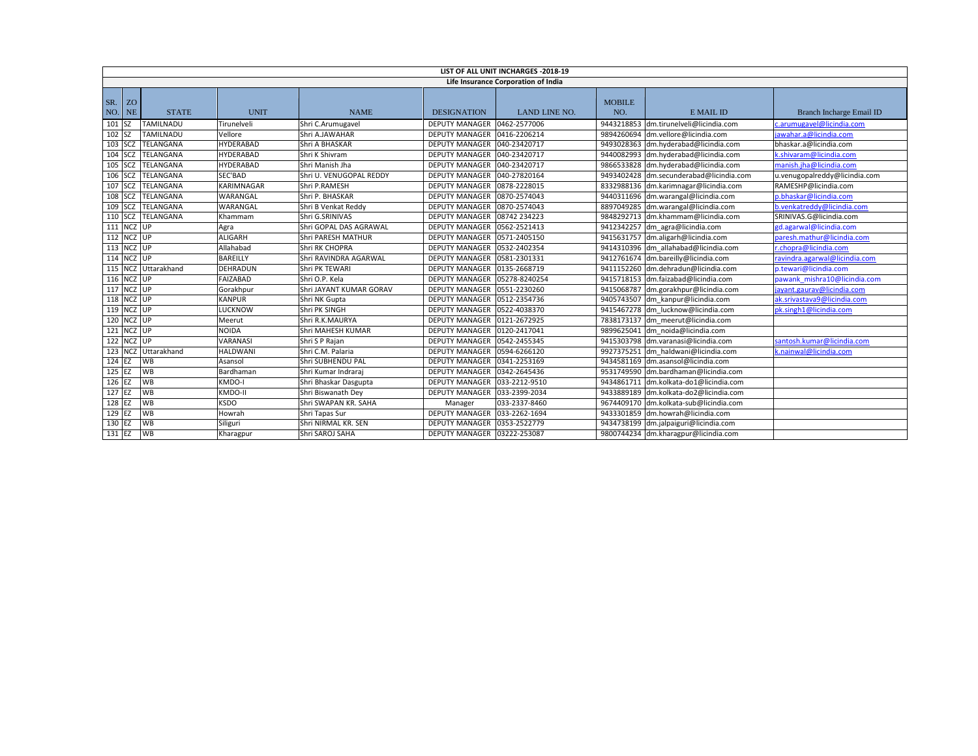|               | LIST OF ALL UNIT INCHARGES - 2018-19 |                     |                   |                           |                             |                      |                      |                                       |                               |
|---------------|--------------------------------------|---------------------|-------------------|---------------------------|-----------------------------|----------------------|----------------------|---------------------------------------|-------------------------------|
|               | Life Insurance Corporation of India  |                     |                   |                           |                             |                      |                      |                                       |                               |
| SR.<br>NO. NE | ZO                                   | <b>STATE</b>        | <b>UNIT</b>       | <b>NAME</b>               | <b>DESIGNATION</b>          | <b>LAND LINE NO.</b> | <b>MOBILE</b><br>NO. | E MAIL ID                             | Branch Incharge Email ID      |
| 101 SZ        |                                      | <b>TAMILNADU</b>    | Tirunelveli       | Shri C.Arumugavel         | <b>DEPUTY MANAGER</b>       | 0462-2577006         | 9443218853           | dm.tirunelveli@licindia.com           | c.arumugavel@licindia.com     |
| 102 SZ        |                                      | TAMILNADU           | Vellore           | Shri A.JAWAHAR            | <b>DEPUTY MANAGER</b>       | 0416-2206214         | 9894260694           | dm.vellore@licindia.com               | jawahar.a@licindia.com        |
|               | $103$ SCZ                            | TELANGANA           | <b>HYDERABAD</b>  | Shri A BHASKAR            | <b>DEPUTY MANAGER</b>       | 040-23420717         |                      | 9493028363 dm.hyderabad@licindia.com  | bhaskar.a@licindia.com        |
|               | 104 SCZ                              | TELANGANA           | HYDERABAD         | Shri K Shivram            | <b>DEPUTY MANAGER</b>       | 040-23420717         | 9440082993           | dm.hyderabad@licindia.com             | c.shivaram@licindia.com       |
|               | 105 SCZ                              | TELANGANA           | <b>HYDERABAD</b>  | Shri Manish Jha           | <b>DEPUTY MANAGER</b>       | 040-23420717         | 9866533828           | dm.hyderabad@licindia.com             | manish.iha@licindia.com       |
|               | 106 SCZ                              | TELANGANA           | SEC'BAD           | Shri U. VENUGOPAL REDDY   | <b>DEPUTY MANAGER</b>       | 040-27820164         | 9493402428           | dm.secunderabad@licindia.com          | u.venugopalreddy@licindia.com |
|               | 107 SCZ                              | TELANGANA           | <b>KARIMNAGAR</b> | Shri P.RAMESH             | DEPUTY MANAGER              | 0878-2228015         |                      | 8332988136 dm.karimnagar@licindia.com | RAMESHP@licindia.com          |
|               | 108 SCZ                              | TELANGANA           | WARANGAL          | Shri P. BHASKAR           | <b>DEPUTY MANAGER</b>       | 0870-2574043         | 9440311696           | dm.warangal@licindia.com              | p.bhaskar@licindia.com        |
|               | 109 SCZ                              | TELANGANA           | WARANGAL          | Shri B Venkat Reddy       | <b>DEPUTY MANAGER</b>       | 0870-2574043         | 8897049285           | dm.warangal@licindia.com              | b.venkatreddy@licindia.com    |
|               |                                      | 110 SCZ TELANGANA   | Khammam           | Shri G.SRINIVAS           | <b>DEPUTY MANAGER</b>       | 08742 234223         | 9848292713           | dm.khammam@licindia.com               | SRINIVAS.G@licindia.com       |
|               | 111 NCZ UP                           |                     | Agra              | Shri GOPAL DAS AGRAWAL    | <b>DEPUTY MANAGER</b>       | 0562-2521413         | 9412342257           | dm agra@licindia.com                  | gd.agarwal@licindia.com       |
|               | 112 NCZ UP                           |                     | <b>ALIGARH</b>    | <b>Shri PARESH MATHUR</b> | <b>DEPUTY MANAGER</b>       | 0571-2405150         | 9415631757           | dm.aligarh@licindia.com               | paresh.mathur@licindia.com    |
|               | 113 NCZ UP                           |                     | Allahabad         | <b>Shri RK CHOPRA</b>     | <b>DEPUTY MANAGER</b>       | 0532-2402354         |                      | 9414310396 dm allahabad@licindia.com  | r.chopra@licindia.com         |
|               | 114 NCZ UP                           |                     | <b>BAREILLY</b>   | Shri RAVINDRA AGARWAL     | <b>DEPUTY MANAGER</b>       | 0581-2301331         |                      | 9412761674 dm.bareilly@licindia.com   | ravindra.agarwal@licindia.com |
|               |                                      | 115 NCZ Uttarakhand | <b>DEHRADUN</b>   | Shri PK TEWARI            | <b>DEPUTY MANAGER</b>       | 0135-2668719         |                      | 9411152260 dm.dehradun@licindia.com   | p.tewari@licindia.com         |
|               | 116 NCZ UP                           |                     | <b>FAIZABAD</b>   | Shri O.P. Kela            | <b>DEPUTY MANAGER</b>       | 05278-8240254        |                      | 9415718153 dm.faizabad@licindia.com   | pawank mishra10@licindia.com  |
|               | 117 NCZ UP                           |                     | Gorakhpur         | Shri JAYANT KUMAR GORAV   | <b>DEPUTY MANAGER</b>       | 0551-2230260         |                      | 9415068787 dm.gorakhpur@licindia.com  | jayant.gaurav@licindia.com    |
|               | 118 NCZ UP                           |                     | <b>KANPUR</b>     | Shri NK Gupta             | <b>DEPUTY MANAGER</b>       | 0512-2354736         |                      | 9405743507 dm kanpur@licindia.com     | ak.srivastava9@licindia.com   |
|               | 119 NCZ UP                           |                     | <b>LUCKNOW</b>    | Shri PK SINGH             | <b>DEPUTY MANAGER</b>       | 0522-4038370         |                      | 9415467278 dm lucknow@licindia.com    | pk.singh1@licindia.com        |
|               | 120 NCZ UP                           |                     | Meerut            | Shri R.K.MAURYA           | <b>DEPUTY MANAGER</b>       | 0121-2672925         |                      | 7838173137 dm meerut@licindia.com     |                               |
|               | 121 NCZ UP                           |                     | <b>NOIDA</b>      | Shri MAHESH KUMAR         | <b>DEPUTY MANAGER</b>       | 0120-2417041         |                      | 9899625041 dm noida@licindia.com      |                               |
|               | 122 NCZ UP                           |                     | VARANASI          | Shri S P Rajan            | <b>DEPUTY MANAGER</b>       | 0542-2455345         |                      | 9415303798 dm.varanasi@licindia.com   | santosh.kumar@licindia.com    |
|               |                                      | 123 NCZ Uttarakhand | <b>HALDWANI</b>   | Shri C.M. Palaria         | <b>DEPUTY MANAGER</b>       | 0594-6266120         |                      | 9927375251 dm haldwani@licindia.com   | c.nainwal@licindia.com        |
| 124 EZ        |                                      | <b>WB</b>           | Asansol           | Shri SUBHENDU PAL         | <b>DEPUTY MANAGER</b>       | 0341-2253169         | 9434581169           | dm.asansol@licindia.com               |                               |
| 125 EZ        |                                      | WB                  | Bardhaman         | Shri Kumar Indraraj       | <b>DEPUTY MANAGER</b>       | 0342-2645436         | 9531749590           | dm.bardhaman@licindia.com             |                               |
| 126 EZ        |                                      | <b>WB</b>           | KMDO-I            | Shri Bhaskar Dasgupta     | <b>DEPUTY MANAGER</b>       | 033-2212-9510        | 9434861711           | dm.kolkata-do1@licindia.com           |                               |
| 127 EZ        |                                      | WB                  | KMDO-II           | Shri Biswanath Dey        | DEPUTY MANAGER              | 033-2399-2034        | 9433889189           | dm.kolkata-do2@licindia.com           |                               |
| 128 EZ        |                                      | <b>WB</b>           | <b>KSDO</b>       | Shri SWAPAN KR. SAHA      | Manager                     | 033-2337-8460        | 9674409170           | dm.kolkata-sub@licindia.com           |                               |
| 129 EZ        |                                      | WB                  | Howrah            | Shri Tapas Sur            | <b>DEPUTY MANAGER</b>       | 033-2262-1694        | 9433301859           | dm.howrah@licindia.com                |                               |
| 130 EZ        |                                      | <b>WB</b>           | Siliguri          | Shri NIRMAL KR. SEN       | <b>DEPUTY MANAGER</b>       | 0353-2522779         | 9434738199           | dm.jalpaiguri@licindia.com            |                               |
| 131 EZ        |                                      | WB                  | Kharagpur         | Shri SAROJ SAHA           | DEPUTY MANAGER 03222-253087 |                      |                      | 9800744234 dm.kharagpur@licindia.com  |                               |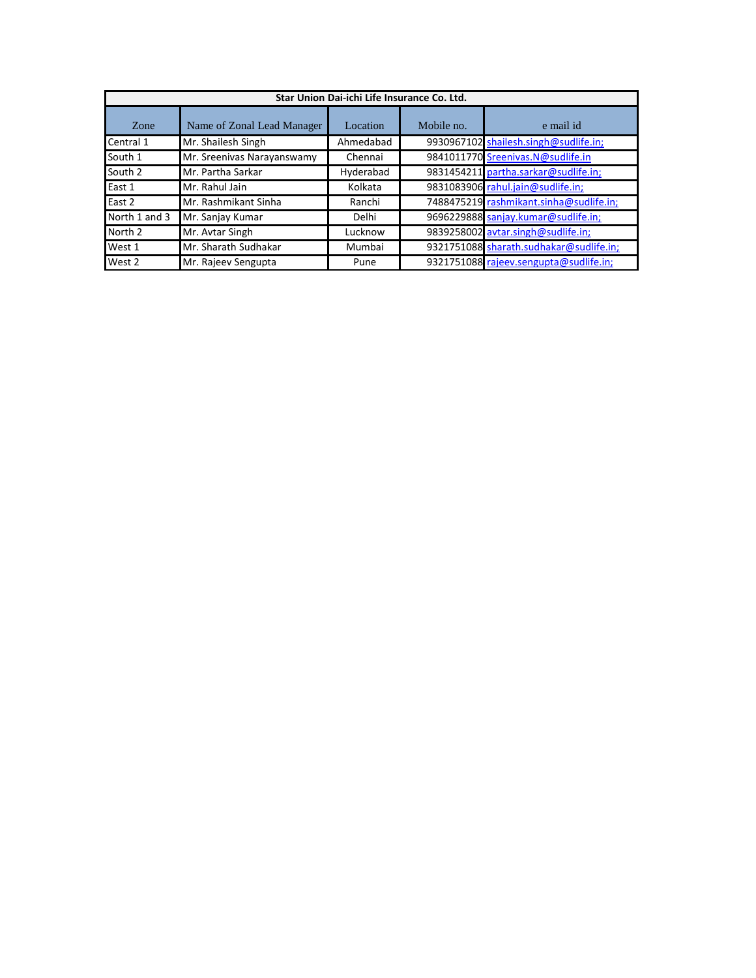| Star Union Dai-ichi Life Insurance Co. Ltd. |                            |           |            |                                         |  |  |  |  |
|---------------------------------------------|----------------------------|-----------|------------|-----------------------------------------|--|--|--|--|
| <b>Zone</b>                                 | Name of Zonal Lead Manager | Location  | Mobile no. | e mail id                               |  |  |  |  |
| Central 1                                   | Mr. Shailesh Singh         | Ahmedabad |            | 9930967102 shailesh.singh@sudlife.in;   |  |  |  |  |
| South 1                                     | Mr. Sreenivas Narayanswamy | Chennai   |            | 9841011770 Sreenivas.N@sudlife.in       |  |  |  |  |
| South 2                                     | Mr. Partha Sarkar          | Hyderabad |            | 9831454211 partha.sarkar@sudlife.in;    |  |  |  |  |
| East 1                                      | Mr. Rahul Jain             | Kolkata   |            | 9831083906 rahul.jain@sudlife.in;       |  |  |  |  |
| East 2                                      | Mr. Rashmikant Sinha       | Ranchi    |            | 7488475219 rashmikant.sinha@sudlife.in; |  |  |  |  |
| North 1 and 3                               | Mr. Sanjay Kumar           | Delhi     |            | 9696229888 sanjay.kumar@sudlife.in;     |  |  |  |  |
| North 2                                     | Mr. Avtar Singh            | Lucknow   |            | 9839258002 avtar.singh@sudlife.in;      |  |  |  |  |
| West 1                                      | Mr. Sharath Sudhakar       | Mumbai    |            | 9321751088 sharath.sudhakar@sudlife.in; |  |  |  |  |
| West 2                                      | Mr. Rajeev Sengupta        | Pune      |            | 9321751088 rajeev.sengupta@sudlife.in;  |  |  |  |  |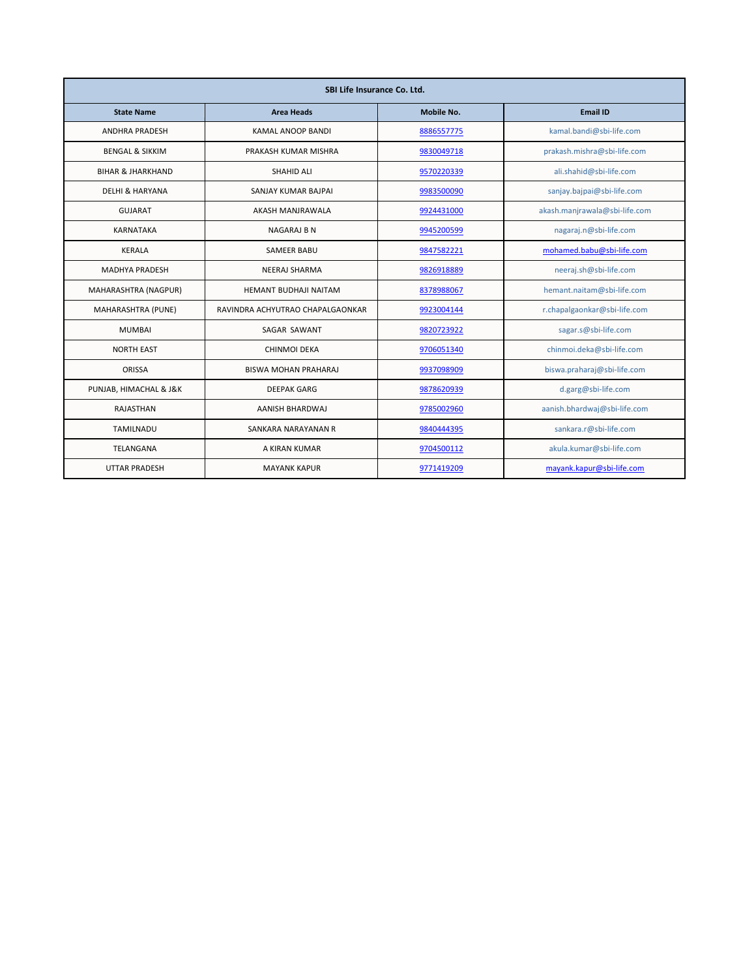| SBI Life Insurance Co. Ltd.  |                                  |            |                               |  |  |  |
|------------------------------|----------------------------------|------------|-------------------------------|--|--|--|
| <b>State Name</b>            | <b>Area Heads</b>                | Mobile No. | <b>Email ID</b>               |  |  |  |
| <b>ANDHRA PRADESH</b>        | <b>KAMAL ANOOP BANDI</b>         | 8886557775 | kamal.bandi@sbi-life.com      |  |  |  |
| <b>BENGAL &amp; SIKKIM</b>   | PRAKASH KUMAR MISHRA             | 9830049718 | prakash.mishra@sbi-life.com   |  |  |  |
| <b>BIHAR &amp; JHARKHAND</b> | <b>SHAHID ALI</b>                | 9570220339 | ali.shahid@sbi-life.com       |  |  |  |
| <b>DELHI &amp; HARYANA</b>   | SANJAY KUMAR BAJPAI              | 9983500090 | sanjay.bajpai@sbi-life.com    |  |  |  |
| <b>GUJARAT</b>               | AKASH MANJRAWALA                 | 9924431000 | akash.manjrawala@sbi-life.com |  |  |  |
| <b>KARNATAKA</b>             | <b>NAGARAJ B N</b>               | 9945200599 | nagaraj.n@sbi-life.com        |  |  |  |
| <b>KERALA</b>                | <b>SAMEER BABU</b>               | 9847582221 | mohamed.babu@sbi-life.com     |  |  |  |
| <b>MADHYA PRADESH</b>        | NEERAJ SHARMA                    | 9826918889 | neeraj.sh@sbi-life.com        |  |  |  |
| MAHARASHTRA (NAGPUR)         | <b>HEMANT BUDHAJI NAITAM</b>     | 8378988067 | hemant.naitam@sbi-life.com    |  |  |  |
| MAHARASHTRA (PUNE)           | RAVINDRA ACHYUTRAO CHAPALGAONKAR | 9923004144 | r.chapalgaonkar@sbi-life.com  |  |  |  |
| <b>MUMBAI</b>                | SAGAR SAWANT                     | 9820723922 | sagar.s@sbi-life.com          |  |  |  |
| <b>NORTH EAST</b>            | CHINMOI DEKA                     | 9706051340 | chinmoi.deka@sbi-life.com     |  |  |  |
| <b>ORISSA</b>                | <b>BISWA MOHAN PRAHARAJ</b>      | 9937098909 | biswa.praharaj@sbi-life.com   |  |  |  |
| PUNJAB, HIMACHAL & J&K       | <b>DEEPAK GARG</b>               | 9878620939 | d.garg@sbi-life.com           |  |  |  |
| <b>RAJASTHAN</b>             | AANISH BHARDWAJ                  | 9785002960 | aanish.bhardwaj@sbi-life.com  |  |  |  |
| <b>TAMILNADU</b>             | SANKARA NARAYANAN R              | 9840444395 | sankara.r@sbi-life.com        |  |  |  |
| <b>TELANGANA</b>             | A KIRAN KUMAR                    | 9704500112 | akula.kumar@sbi-life.com      |  |  |  |
| <b>UTTAR PRADESH</b>         | <b>MAYANK KAPUR</b>              | 9771419209 | mayank.kapur@sbi-life.com     |  |  |  |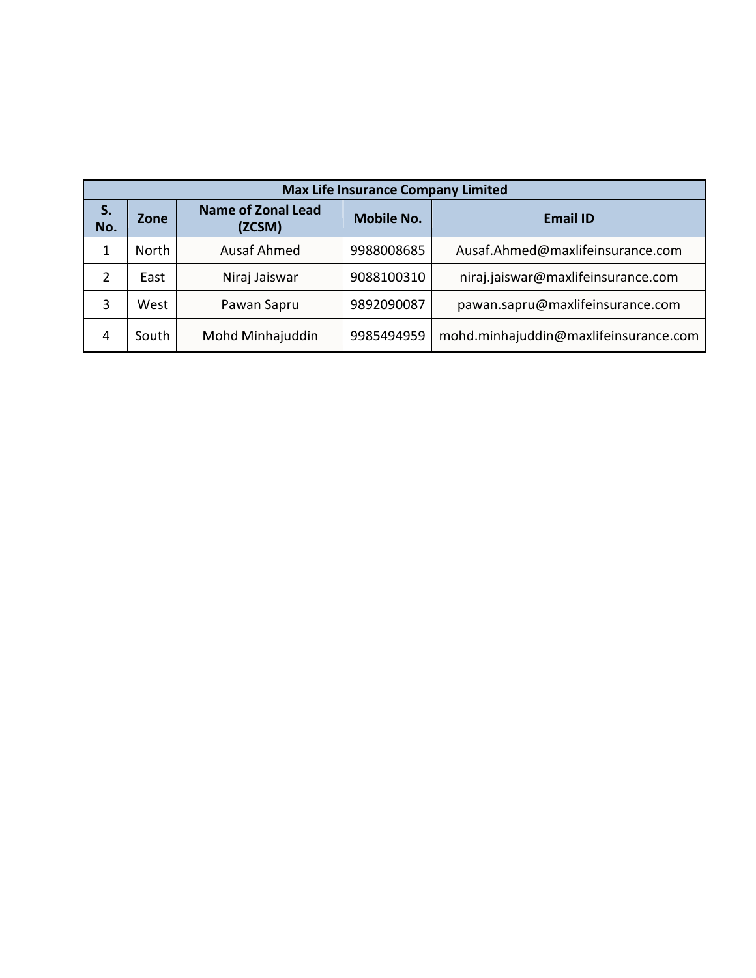|           | <b>Max Life Insurance Company Limited</b>   |                    |                   |                                       |  |  |  |  |  |
|-----------|---------------------------------------------|--------------------|-------------------|---------------------------------------|--|--|--|--|--|
| S.<br>No. | <b>Name of Zonal Lead</b><br>Zone<br>(ZCSM) |                    | <b>Mobile No.</b> | <b>Email ID</b>                       |  |  |  |  |  |
| 1         | North                                       | <b>Ausaf Ahmed</b> | 9988008685        | Ausaf.Ahmed@maxlifeinsurance.com      |  |  |  |  |  |
| 2         | East                                        | Niraj Jaiswar      | 9088100310        | niraj.jaiswar@maxlifeinsurance.com    |  |  |  |  |  |
| 3         | West                                        | Pawan Sapru        | 9892090087        | pawan.sapru@maxlifeinsurance.com      |  |  |  |  |  |
| 4         | South                                       | Mohd Minhajuddin   | 9985494959        | mohd.minhajuddin@maxlifeinsurance.com |  |  |  |  |  |